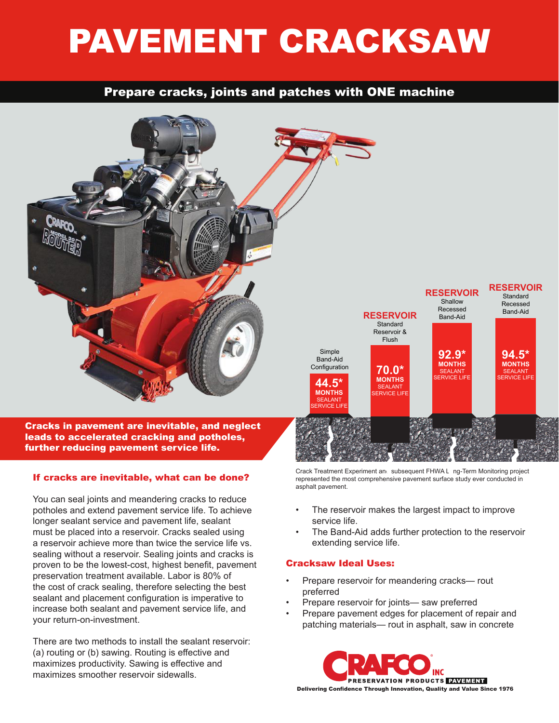# PAVEMENT CRACKSAW

## Prepare cracks, joints and patches with ONE machine



## If cracks are inevitable, what can be done?

You can seal joints and meandering cracks to reduce potholes and extend pavement service life. To achieve longer sealant service and pavement life, sealant must be placed into a reservoir. Cracks sealed using a reservoir achieve more than twice the service life vs. sealing without a reservoir. Sealing joints and cracks is proven to be the lowest-cost, highest benefit, pavement preservation treatment available. Labor is 80% of the cost of crack sealing, therefore selecting the best sealant and placement configuration is imperative to increase both sealant and pavement service life, and your return-on-investment.

There are two methods to install the sealant reservoir: (a) routing or (b) sawing. Routing is effective and maximizes productivity. Sawing is effective and maximizes smoother reservoir sidewalls.

Crack Treatment Experiment and subsequent FHWA Long-Term Monitoring project represented the most comprehensive pavement surface study ever conducted in asphalt pavement.

- The reservoir makes the largest impact to improve service life.
- The Band-Aid adds further protection to the reservoir extending service life.

## Cracksaw Ideal Uses:

- Prepare reservoir for meandering cracks— rout preferred
- Prepare reservoir for joints— saw preferred
- Prepare pavement edges for placement of repair and patching materials— rout in asphalt, saw in concrete